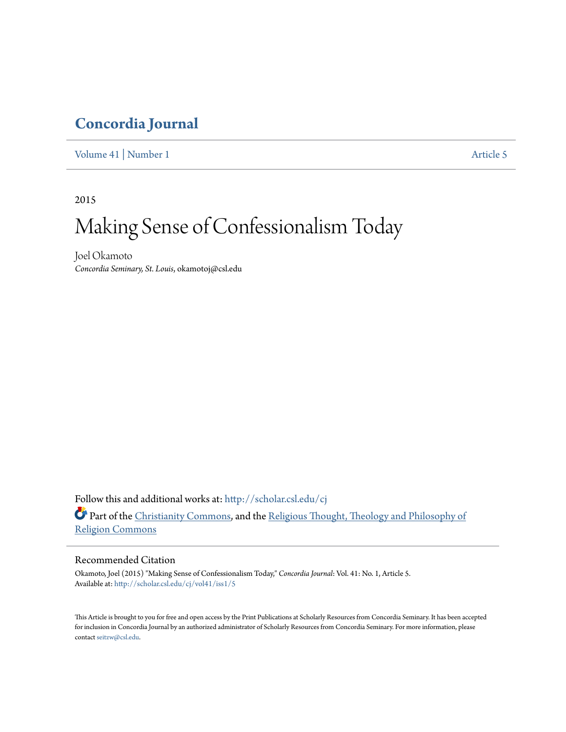# **[Concordia Journal](http://scholar.csl.edu/cj?utm_source=scholar.csl.edu%2Fcj%2Fvol41%2Fiss1%2F5&utm_medium=PDF&utm_campaign=PDFCoverPages)**

[Volume 41](http://scholar.csl.edu/cj/vol41?utm_source=scholar.csl.edu%2Fcj%2Fvol41%2Fiss1%2F5&utm_medium=PDF&utm_campaign=PDFCoverPages) | [Number 1](http://scholar.csl.edu/cj/vol41/iss1?utm_source=scholar.csl.edu%2Fcj%2Fvol41%2Fiss1%2F5&utm_medium=PDF&utm_campaign=PDFCoverPages) [Article 5](http://scholar.csl.edu/cj/vol41/iss1/5?utm_source=scholar.csl.edu%2Fcj%2Fvol41%2Fiss1%2F5&utm_medium=PDF&utm_campaign=PDFCoverPages)

2015

# Making Sense of Confessionalism Today

Joel Okamoto *Concordia Seminary, St. Louis*, okamotoj@csl.edu

Follow this and additional works at: [http://scholar.csl.edu/cj](http://scholar.csl.edu/cj?utm_source=scholar.csl.edu%2Fcj%2Fvol41%2Fiss1%2F5&utm_medium=PDF&utm_campaign=PDFCoverPages) Part of the [Christianity Commons,](http://network.bepress.com/hgg/discipline/1181?utm_source=scholar.csl.edu%2Fcj%2Fvol41%2Fiss1%2F5&utm_medium=PDF&utm_campaign=PDFCoverPages) and the [Religious Thought, Theology and Philosophy of](http://network.bepress.com/hgg/discipline/544?utm_source=scholar.csl.edu%2Fcj%2Fvol41%2Fiss1%2F5&utm_medium=PDF&utm_campaign=PDFCoverPages) [Religion Commons](http://network.bepress.com/hgg/discipline/544?utm_source=scholar.csl.edu%2Fcj%2Fvol41%2Fiss1%2F5&utm_medium=PDF&utm_campaign=PDFCoverPages)

# Recommended Citation

Okamoto, Joel (2015) "Making Sense of Confessionalism Today," *Concordia Journal*: Vol. 41: No. 1, Article 5. Available at: [http://scholar.csl.edu/cj/vol41/iss1/5](http://scholar.csl.edu/cj/vol41/iss1/5?utm_source=scholar.csl.edu%2Fcj%2Fvol41%2Fiss1%2F5&utm_medium=PDF&utm_campaign=PDFCoverPages)

This Article is brought to you for free and open access by the Print Publications at Scholarly Resources from Concordia Seminary. It has been accepted for inclusion in Concordia Journal by an authorized administrator of Scholarly Resources from Concordia Seminary. For more information, please contact [seitzw@csl.edu.](mailto:seitzw@csl.edu)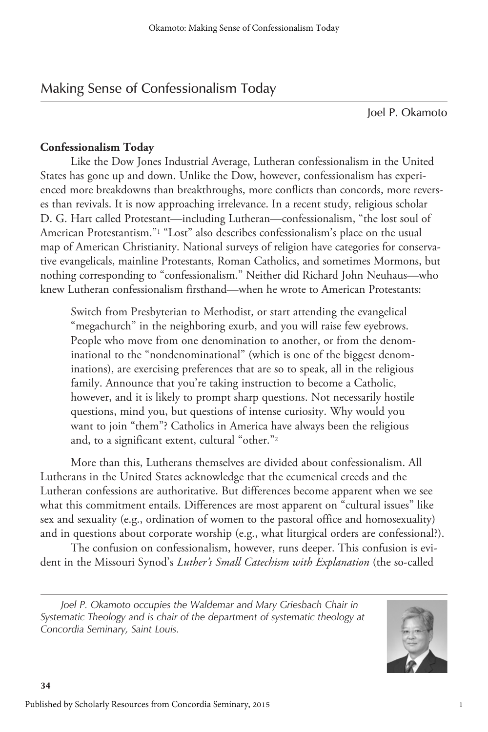# Making Sense of Confessionalism Today

Joel P. Okamoto

# **Confessionalism Today**

Like the Dow Jones Industrial Average, Lutheran confessionalism in the United States has gone up and down. Unlike the Dow, however, confessionalism has experienced more breakdowns than breakthroughs, more conflicts than concords, more reverses than revivals. It is now approaching irrelevance. In a recent study, religious scholar D. G. Hart called Protestant—including Lutheran—confessionalism, "the lost soul of American Protestantism."1 "Lost" also describes confessionalism's place on the usual map of American Christianity. National surveys of religion have categories for conservative evangelicals, mainline Protestants, Roman Catholics, and sometimes Mormons, but nothing corresponding to "confessionalism." Neither did Richard John Neuhaus—who knew Lutheran confessionalism firsthand—when he wrote to American Protestants:

Switch from Presbyterian to Methodist, or start attending the evangelical "megachurch" in the neighboring exurb, and you will raise few eyebrows. People who move from one denomination to another, or from the denominational to the "nondenominational" (which is one of the biggest denominations), are exercising preferences that are so to speak, all in the religious family. Announce that you're taking instruction to become a Catholic, however, and it is likely to prompt sharp questions. Not necessarily hostile questions, mind you, but questions of intense curiosity. Why would you want to join "them"? Catholics in America have always been the religious and, to a significant extent, cultural "other."2

More than this, Lutherans themselves are divided about confessionalism. All Lutherans in the United States acknowledge that the ecumenical creeds and the Lutheran confessions are authoritative. But differences become apparent when we see what this commitment entails. Differences are most apparent on "cultural issues" like sex and sexuality (e.g., ordination of women to the pastoral office and homosexuality) and in questions about corporate worship (e.g., what liturgical orders are confessional?).

The confusion on confessionalism, however, runs deeper. This confusion is evident in the Missouri Synod's *Luther's Small Catechism with Explanation* (the so-called

Joel P. Okamoto occupies the Waldemar and Mary Griesbach Chair in *Systematic Theology and is chair of the department of systematic theology at Concordia Seminary, Saint Louis.*

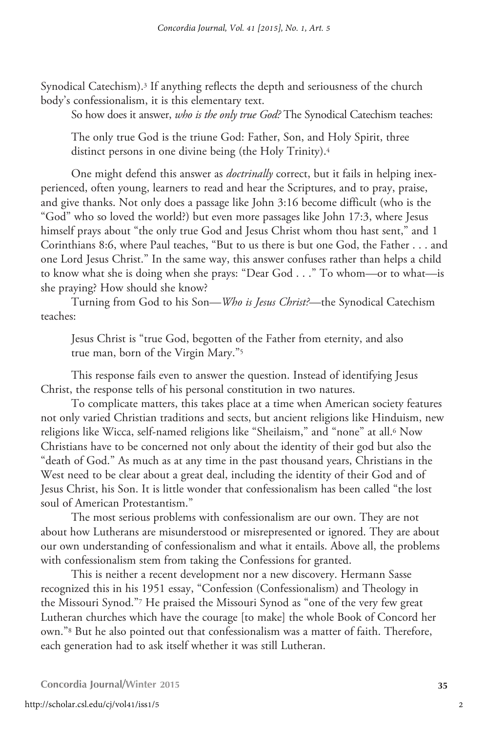Synodical Catechism).3 If anything reflects the depth and seriousness of the church body's confessionalism, it is this elementary text.

So how does it answer, *who is the only true God?* The Synodical Catechism teaches:

The only true God is the triune God: Father, Son, and Holy Spirit, three distinct persons in one divine being (the Holy Trinity).4

One might defend this answer as *doctrinally* correct, but it fails in helping inexperienced, often young, learners to read and hear the Scriptures, and to pray, praise, and give thanks. Not only does a passage like John 3:16 become difficult (who is the "God" who so loved the world?) but even more passages like John 17:3, where Jesus himself prays about "the only true God and Jesus Christ whom thou hast sent," and 1 Corinthians 8:6, where Paul teaches, "But to us there is but one God, the Father . . . and one Lord Jesus Christ." In the same way, this answer confuses rather than helps a child to know what she is doing when she prays: "Dear God . . ." To whom—or to what—is she praying? How should she know?

Turning from God to his Son—*Who is Jesus Christ?*—the Synodical Catechism teaches:

Jesus Christ is "true God, begotten of the Father from eternity, and also true man, born of the Virgin Mary."5

This response fails even to answer the question. Instead of identifying Jesus Christ, the response tells of his personal constitution in two natures.

To complicate matters, this takes place at a time when American society features not only varied Christian traditions and sects, but ancient religions like Hinduism, new religions like Wicca, self-named religions like "Sheilaism," and "none" at all.<sup>6</sup> Now Christians have to be concerned not only about the identity of their god but also the "death of God." As much as at any time in the past thousand years, Christians in the West need to be clear about a great deal, including the identity of their God and of Jesus Christ, his Son. It is little wonder that confessionalism has been called "the lost soul of American Protestantism."

The most serious problems with confessionalism are our own. They are not about how Lutherans are misunderstood or misrepresented or ignored. They are about our own understanding of confessionalism and what it entails. Above all, the problems with confessionalism stem from taking the Confessions for granted.

This is neither a recent development nor a new discovery. Hermann Sasse recognized this in his 1951 essay, "Confession (Confessionalism) and Theology in the Missouri Synod."7 He praised the Missouri Synod as "one of the very few great Lutheran churches which have the courage [to make] the whole Book of Concord her own."8 But he also pointed out that confessionalism was a matter of faith. Therefore, each generation had to ask itself whether it was still Lutheran.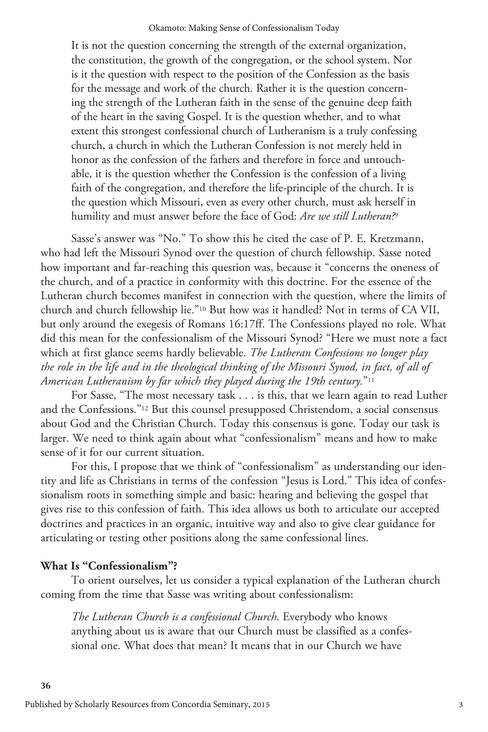It is not the question concerning the strength of the external organization, the constitution, the growth of the congregation, or the school system. Nor is it the question with respect to the position of the Confession as the basis for the message and work of the church. Rather it is the question concerning the strength of the Lutheran faith in the sense of the genuine deep faith of the heart in the saving Gospel. It is the question whether, and to what extent this strongest confessional church of Lutheranism is a truly confessing church, a church in which the Lutheran Confession is not merely held in honor as the confession of the fathers and therefore in force and untouchable, it is the question whether the Confession is the confession of a living faith of the congregation, and therefore the life-principle of the church. It is the question which Missouri, even as every other church, must ask herself in humility and must answer before the face of God: *Are we still Lutheran?*<sup>9</sup>

Sasse's answer was "No." To show this he cited the case of P. E. Kretzmann, who had left the Missouri Synod over the question of church fellowship. Sasse noted how important and far-reaching this question was, because it "concerns the oneness of the church, and of a practice in conformity with this doctrine. For the essence of the Lutheran church becomes manifest in connection with the question, where the limits of church and church fellowship lie."10 But how was it handled? Not in terms of CA VII, but only around the exegesis of Romans 16:17ff. The Confessions played no role. What did this mean for the confessionalism of the Missouri Synod? "Here we must note a fact which at first glance seems hardly believable. *The Lutheran Confessions no longer play the role in the life and in the theological thinking of the Missouri Synod, in fact, of all of American Lutheranism by far which they played during the 19th century.*"11

For Sasse, "The most necessary task . . . is this, that we learn again to read Luther and the Confessions."12 But this counsel presupposed Christendom, a social consensus about God and the Christian Church. Today this consensus is gone. Today our task is larger. We need to think again about what "confessionalism" means and how to make sense of it for our current situation.

For this, I propose that we think of "confessionalism" as understanding our identity and life as Christians in terms of the confession "Jesus is Lord." This idea of confessionalism roots in something simple and basic: hearing and believing the gospel that gives rise to this confession of faith. This idea allows us both to articulate our accepted doctrines and practices in an organic, intuitive way and also to give clear guidance for articulating or testing other positions along the same confessional lines.

# **What Is "Confessionalism"?**

**36**

To orient ourselves, let us consider a typical explanation of the Lutheran church coming from the time that Sasse was writing about confessionalism:

*The Lutheran Church is a confessional Church*. Everybody who knows anything about us is aware that our Church must be classified as a confessional one. What does that mean? It means that in our Church we have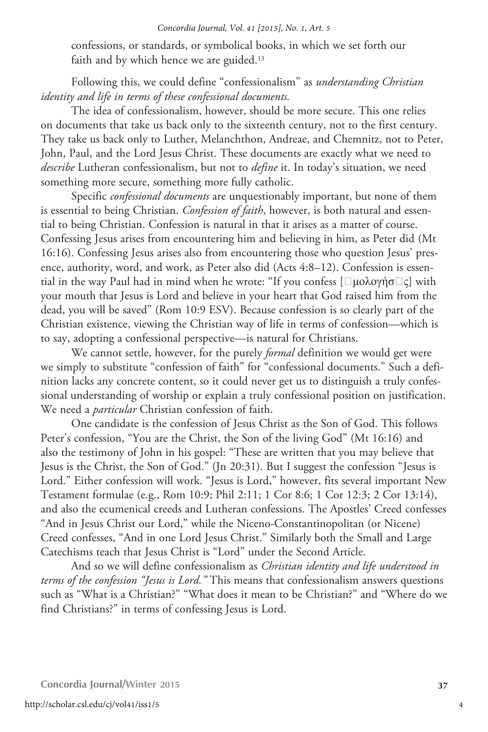confessions, or standards, or symbolical books, in which we set forth our faith and by which hence we are guided.<sup>13</sup>

Following this, we could define "confessionalism" as *understanding Christian identity and life in terms of these confessional documents.* 

The idea of confessionalism, however, should be more secure. This one relies on documents that take us back only to the sixteenth century, not to the first century. They take us back only to Luther, Melanchthon, Andreae, and Chemnitz, not to Peter, John, Paul, and the Lord Jesus Christ. These documents are exactly what we need to *describe* Lutheran confessionalism, but not to *define* it. In today's situation, we need something more secure, something more fully catholic.

Specific *confessional documents* are unquestionably important, but none of them is essential to being Christian. *Confession of faith*, however, is both natural and essential to being Christian. Confession is natural in that it arises as a matter of course. Confessing Jesus arises from encountering him and believing in him, as Peter did (Mt 16:16). Confessing Jesus arises also from encountering those who question Jesus' presence, authority, word, and work, as Peter also did (Acts 4:8–12). Confession is essential in the way Paul had in mind when he wrote: "If you confess [ $\Box$ μολογήσ $\Box$ ς] with your mouth that Jesus is Lord and believe in your heart that God raised him from the dead, you will be saved" (Rom 10:9 ESV). Because confession is so clearly part of the Christian existence, viewing the Christian way of life in terms of confession—which is to say, adopting a confessional perspective—is natural for Christians.

We cannot settle, however, for the purely *formal* definition we would get were we simply to substitute "confession of faith" for "confessional documents." Such a definition lacks any concrete content, so it could never get us to distinguish a truly confessional understanding of worship or explain a truly confessional position on justification. We need a *particular* Christian confession of faith.

One candidate is the confession of Jesus Christ as the Son of God. This follows Peter's confession, "You are the Christ, the Son of the living God" (Mt 16:16) and also the testimony of John in his gospel: "These are written that you may believe that Jesus is the Christ, the Son of God." (Jn 20:31). But I suggest the confession "Jesus is Lord." Either confession will work. "Jesus is Lord," however, fits several important New Testament formulae (e.g., Rom 10:9; Phil 2:11; 1 Cor 8:6; 1 Cor 12:3; 2 Cor 13:14), and also the ecumenical creeds and Lutheran confessions. The Apostles' Creed confesses "And in Jesus Christ our Lord," while the Niceno-Constantinopolitan (or Nicene) Creed confesses, "And in one Lord Jesus Christ." Similarly both the Small and Large Catechisms teach that Jesus Christ is "Lord" under the Second Article.

And so we will define confessionalism as *Christian identity and life understood in terms of the confession "Jesus is Lord."* This means that confessionalism answers questions such as "What is a Christian?" "What does it mean to be Christian?" and "Where do we find Christians?" in terms of confessing Jesus is Lord.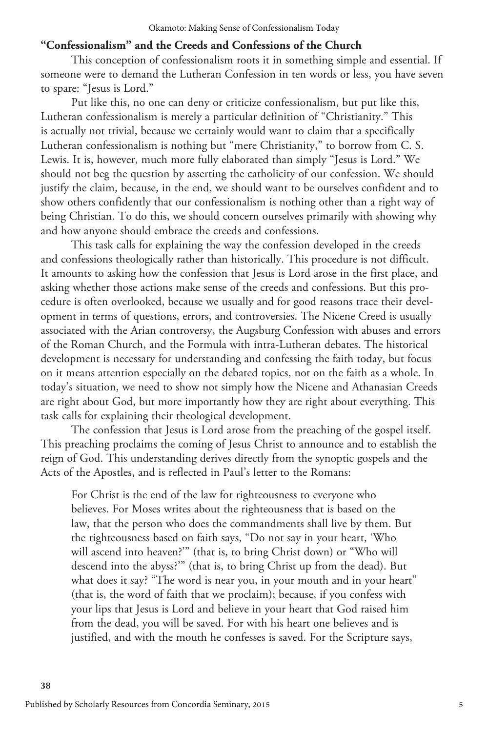# **"Confessionalism" and the Creeds and Confessions of the Church**

This conception of confessionalism roots it in something simple and essential. If someone were to demand the Lutheran Confession in ten words or less, you have seven to spare: "Jesus is Lord."

Put like this, no one can deny or criticize confessionalism, but put like this, Lutheran confessionalism is merely a particular definition of "Christianity." This is actually not trivial, because we certainly would want to claim that a specifically Lutheran confessionalism is nothing but "mere Christianity," to borrow from C. S. Lewis. It is, however, much more fully elaborated than simply "Jesus is Lord." We should not beg the question by asserting the catholicity of our confession. We should justify the claim, because, in the end, we should want to be ourselves confident and to show others confidently that our confessionalism is nothing other than a right way of being Christian. To do this, we should concern ourselves primarily with showing why and how anyone should embrace the creeds and confessions.

This task calls for explaining the way the confession developed in the creeds and confessions theologically rather than historically. This procedure is not difficult. It amounts to asking how the confession that Jesus is Lord arose in the first place, and asking whether those actions make sense of the creeds and confessions. But this procedure is often overlooked, because we usually and for good reasons trace their development in terms of questions, errors, and controversies. The Nicene Creed is usually associated with the Arian controversy, the Augsburg Confession with abuses and errors of the Roman Church, and the Formula with intra-Lutheran debates. The historical development is necessary for understanding and confessing the faith today, but focus on it means attention especially on the debated topics, not on the faith as a whole. In today's situation, we need to show not simply how the Nicene and Athanasian Creeds are right about God, but more importantly how they are right about everything. This task calls for explaining their theological development.

The confession that Jesus is Lord arose from the preaching of the gospel itself. This preaching proclaims the coming of Jesus Christ to announce and to establish the reign of God. This understanding derives directly from the synoptic gospels and the Acts of the Apostles, and is reflected in Paul's letter to the Romans:

For Christ is the end of the law for righteousness to everyone who believes. For Moses writes about the righteousness that is based on the law, that the person who does the commandments shall live by them. But the righteousness based on faith says, "Do not say in your heart, 'Who will ascend into heaven?'" (that is, to bring Christ down) or "Who will descend into the abyss?'" (that is, to bring Christ up from the dead). But what does it say? "The word is near you, in your mouth and in your heart" (that is, the word of faith that we proclaim); because, if you confess with your lips that Jesus is Lord and believe in your heart that God raised him from the dead, you will be saved. For with his heart one believes and is justified, and with the mouth he confesses is saved. For the Scripture says,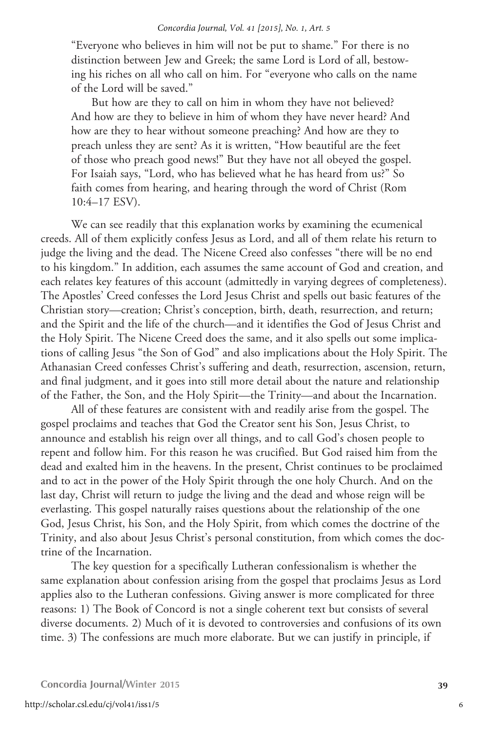"Everyone who believes in him will not be put to shame." For there is no distinction between Jew and Greek; the same Lord is Lord of all, bestowing his riches on all who call on him. For "everyone who calls on the name of the Lord will be saved."

But how are they to call on him in whom they have not believed? And how are they to believe in him of whom they have never heard? And how are they to hear without someone preaching? And how are they to preach unless they are sent? As it is written, "How beautiful are the feet of those who preach good news!" But they have not all obeyed the gospel. For Isaiah says, "Lord, who has believed what he has heard from us?" So faith comes from hearing, and hearing through the word of Christ (Rom 10:4–17 ESV).

We can see readily that this explanation works by examining the ecumenical creeds. All of them explicitly confess Jesus as Lord, and all of them relate his return to judge the living and the dead. The Nicene Creed also confesses "there will be no end to his kingdom." In addition, each assumes the same account of God and creation, and each relates key features of this account (admittedly in varying degrees of completeness). The Apostles' Creed confesses the Lord Jesus Christ and spells out basic features of the Christian story—creation; Christ's conception, birth, death, resurrection, and return; and the Spirit and the life of the church—and it identifies the God of Jesus Christ and the Holy Spirit. The Nicene Creed does the same, and it also spells out some implications of calling Jesus "the Son of God" and also implications about the Holy Spirit. The Athanasian Creed confesses Christ's suffering and death, resurrection, ascension, return, and final judgment, and it goes into still more detail about the nature and relationship of the Father, the Son, and the Holy Spirit—the Trinity—and about the Incarnation.

All of these features are consistent with and readily arise from the gospel. The gospel proclaims and teaches that God the Creator sent his Son, Jesus Christ, to announce and establish his reign over all things, and to call God's chosen people to repent and follow him. For this reason he was crucified. But God raised him from the dead and exalted him in the heavens. In the present, Christ continues to be proclaimed and to act in the power of the Holy Spirit through the one holy Church. And on the last day, Christ will return to judge the living and the dead and whose reign will be everlasting. This gospel naturally raises questions about the relationship of the one God, Jesus Christ, his Son, and the Holy Spirit, from which comes the doctrine of the Trinity, and also about Jesus Christ's personal constitution, from which comes the doctrine of the Incarnation.

The key question for a specifically Lutheran confessionalism is whether the same explanation about confession arising from the gospel that proclaims Jesus as Lord applies also to the Lutheran confessions. Giving answer is more complicated for three reasons: 1) The Book of Concord is not a single coherent text but consists of several diverse documents. 2) Much of it is devoted to controversies and confusions of its own time. 3) The confessions are much more elaborate. But we can justify in principle, if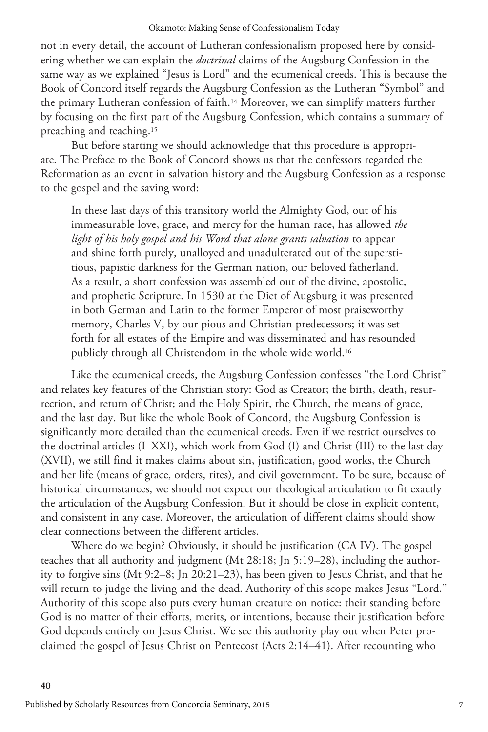not in every detail, the account of Lutheran confessionalism proposed here by considering whether we can explain the *doctrinal* claims of the Augsburg Confession in the same way as we explained "Jesus is Lord" and the ecumenical creeds. This is because the Book of Concord itself regards the Augsburg Confession as the Lutheran "Symbol" and the primary Lutheran confession of faith.14 Moreover, we can simplify matters further by focusing on the first part of the Augsburg Confession, which contains a summary of preaching and teaching.15

But before starting we should acknowledge that this procedure is appropriate. The Preface to the Book of Concord shows us that the confessors regarded the Reformation as an event in salvation history and the Augsburg Confession as a response to the gospel and the saving word:

In these last days of this transitory world the Almighty God, out of his immeasurable love, grace, and mercy for the human race, has allowed *the light of his holy gospel and his Word that alone grants salvation* to appear and shine forth purely, unalloyed and unadulterated out of the superstitious, papistic darkness for the German nation, our beloved fatherland. As a result, a short confession was assembled out of the divine, apostolic, and prophetic Scripture. In 1530 at the Diet of Augsburg it was presented in both German and Latin to the former Emperor of most praiseworthy memory, Charles V, by our pious and Christian predecessors; it was set forth for all estates of the Empire and was disseminated and has resounded publicly through all Christendom in the whole wide world.16

Like the ecumenical creeds, the Augsburg Confession confesses "the Lord Christ" and relates key features of the Christian story: God as Creator; the birth, death, resurrection, and return of Christ; and the Holy Spirit, the Church, the means of grace, and the last day. But like the whole Book of Concord, the Augsburg Confession is significantly more detailed than the ecumenical creeds. Even if we restrict ourselves to the doctrinal articles (I–XXI), which work from God (I) and Christ (III) to the last day (XVII), we still find it makes claims about sin, justification, good works, the Church and her life (means of grace, orders, rites), and civil government. To be sure, because of historical circumstances, we should not expect our theological articulation to fit exactly the articulation of the Augsburg Confession. But it should be close in explicit content, and consistent in any case. Moreover, the articulation of different claims should show clear connections between the different articles.

Where do we begin? Obviously, it should be justification (CA IV). The gospel teaches that all authority and judgment (Mt 28:18; Jn 5:19–28), including the authority to forgive sins (Mt 9:2–8; Jn 20:21–23), has been given to Jesus Christ, and that he will return to judge the living and the dead. Authority of this scope makes Jesus "Lord." Authority of this scope also puts every human creature on notice: their standing before God is no matter of their efforts, merits, or intentions, because their justification before God depends entirely on Jesus Christ. We see this authority play out when Peter proclaimed the gospel of Jesus Christ on Pentecost (Acts 2:14–41). After recounting who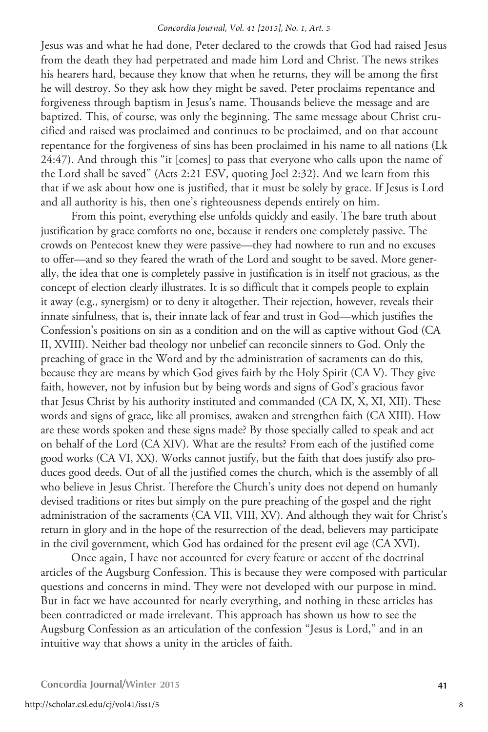Jesus was and what he had done, Peter declared to the crowds that God had raised Jesus from the death they had perpetrated and made him Lord and Christ. The news strikes his hearers hard, because they know that when he returns, they will be among the first he will destroy. So they ask how they might be saved. Peter proclaims repentance and forgiveness through baptism in Jesus's name. Thousands believe the message and are baptized. This, of course, was only the beginning. The same message about Christ crucified and raised was proclaimed and continues to be proclaimed, and on that account repentance for the forgiveness of sins has been proclaimed in his name to all nations (Lk 24:47). And through this "it [comes] to pass that everyone who calls upon the name of the Lord shall be saved" (Acts 2:21 ESV, quoting Joel 2:32). And we learn from this that if we ask about how one is justified, that it must be solely by grace. If Jesus is Lord and all authority is his, then one's righteousness depends entirely on him.

From this point, everything else unfolds quickly and easily. The bare truth about justification by grace comforts no one, because it renders one completely passive. The crowds on Pentecost knew they were passive—they had nowhere to run and no excuses to offer—and so they feared the wrath of the Lord and sought to be saved. More generally, the idea that one is completely passive in justification is in itself not gracious, as the concept of election clearly illustrates. It is so difficult that it compels people to explain it away (e.g., synergism) or to deny it altogether. Their rejection, however, reveals their innate sinfulness, that is, their innate lack of fear and trust in God—which justifies the Confession's positions on sin as a condition and on the will as captive without God (CA II, XVIII). Neither bad theology nor unbelief can reconcile sinners to God. Only the preaching of grace in the Word and by the administration of sacraments can do this, because they are means by which God gives faith by the Holy Spirit (CA V). They give faith, however, not by infusion but by being words and signs of God's gracious favor that Jesus Christ by his authority instituted and commanded (CA IX, X, XI, XII). These words and signs of grace, like all promises, awaken and strengthen faith (CA XIII). How are these words spoken and these signs made? By those specially called to speak and act on behalf of the Lord (CA XIV). What are the results? From each of the justified come good works (CA VI, XX). Works cannot justify, but the faith that does justify also produces good deeds. Out of all the justified comes the church, which is the assembly of all who believe in Jesus Christ. Therefore the Church's unity does not depend on humanly devised traditions or rites but simply on the pure preaching of the gospel and the right administration of the sacraments (CA VII, VIII, XV). And although they wait for Christ's return in glory and in the hope of the resurrection of the dead, believers may participate in the civil government, which God has ordained for the present evil age (CA XVI).

Once again, I have not accounted for every feature or accent of the doctrinal articles of the Augsburg Confession. This is because they were composed with particular questions and concerns in mind. They were not developed with our purpose in mind. But in fact we have accounted for nearly everything, and nothing in these articles has been contradicted or made irrelevant. This approach has shown us how to see the Augsburg Confession as an articulation of the confession "Jesus is Lord," and in an intuitive way that shows a unity in the articles of faith.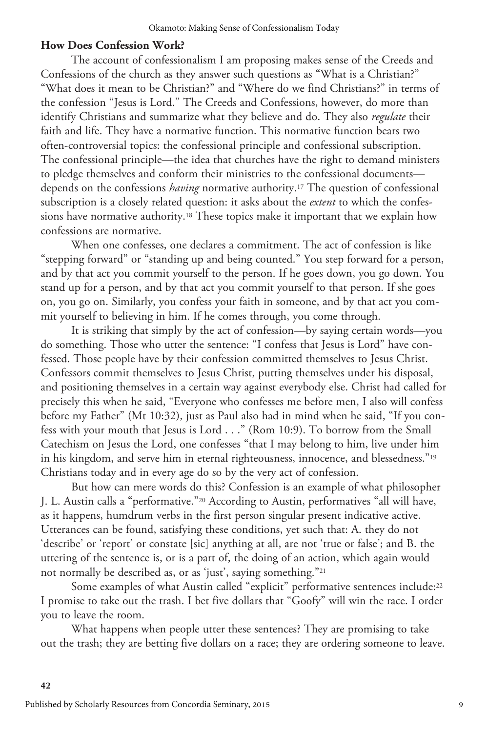## **How Does Confession Work?**

The account of confessionalism I am proposing makes sense of the Creeds and Confessions of the church as they answer such questions as "What is a Christian?" "What does it mean to be Christian?" and "Where do we find Christians?" in terms of the confession "Jesus is Lord." The Creeds and Confessions, however, do more than identify Christians and summarize what they believe and do. They also *regulate* their faith and life. They have a normative function. This normative function bears two often-controversial topics: the confessional principle and confessional subscription. The confessional principle—the idea that churches have the right to demand ministers to pledge themselves and conform their ministries to the confessional documents depends on the confessions *having* normative authority.17 The question of confessional subscription is a closely related question: it asks about the *extent* to which the confessions have normative authority.18 These topics make it important that we explain how confessions are normative.

When one confesses, one declares a commitment. The act of confession is like "stepping forward" or "standing up and being counted." You step forward for a person, and by that act you commit yourself to the person. If he goes down, you go down. You stand up for a person, and by that act you commit yourself to that person. If she goes on, you go on. Similarly, you confess your faith in someone, and by that act you commit yourself to believing in him. If he comes through, you come through.

It is striking that simply by the act of confession—by saying certain words—you do something. Those who utter the sentence: "I confess that Jesus is Lord" have confessed. Those people have by their confession committed themselves to Jesus Christ. Confessors commit themselves to Jesus Christ, putting themselves under his disposal, and positioning themselves in a certain way against everybody else. Christ had called for precisely this when he said, "Everyone who confesses me before men, I also will confess before my Father" (Mt 10:32), just as Paul also had in mind when he said, "If you confess with your mouth that Jesus is Lord . . ." (Rom 10:9). To borrow from the Small Catechism on Jesus the Lord, one confesses "that I may belong to him, live under him in his kingdom, and serve him in eternal righteousness, innocence, and blessedness."19 Christians today and in every age do so by the very act of confession.

But how can mere words do this? Confession is an example of what philosopher J. L. Austin calls a "performative."20 According to Austin, performatives "all will have, as it happens, humdrum verbs in the first person singular present indicative active. Utterances can be found, satisfying these conditions, yet such that: A. they do not 'describe' or 'report' or constate [sic] anything at all, are not 'true or false'; and B. the uttering of the sentence is, or is a part of, the doing of an action, which again would not normally be described as, or as 'just', saying something."21

Some examples of what Austin called "explicit" performative sentences include:<sup>22</sup> I promise to take out the trash. I bet five dollars that "Goofy" will win the race. I order you to leave the room.

What happens when people utter these sentences? They are promising to take out the trash; they are betting five dollars on a race; they are ordering someone to leave.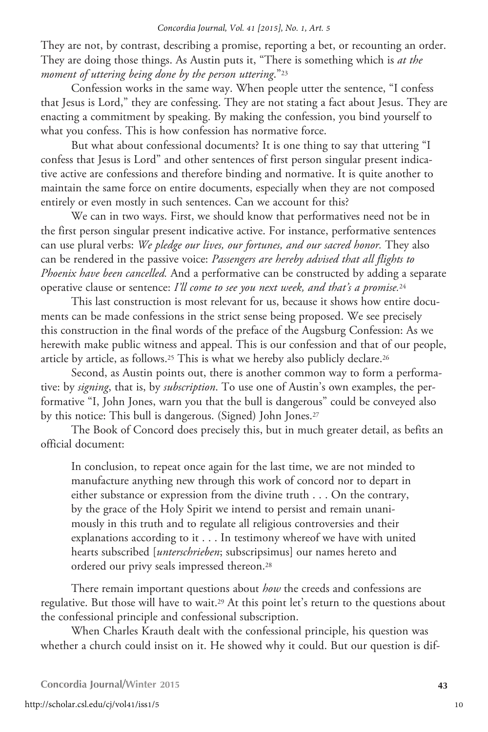They are not, by contrast, describing a promise, reporting a bet, or recounting an order. They are doing those things. As Austin puts it, "There is something which is *at the moment of uttering being done by the person uttering*."23

Confession works in the same way. When people utter the sentence, "I confess that Jesus is Lord," they are confessing. They are not stating a fact about Jesus. They are enacting a commitment by speaking. By making the confession, you bind yourself to what you confess. This is how confession has normative force.

But what about confessional documents? It is one thing to say that uttering "I confess that Jesus is Lord" and other sentences of first person singular present indicative active are confessions and therefore binding and normative. It is quite another to maintain the same force on entire documents, especially when they are not composed entirely or even mostly in such sentences. Can we account for this?

We can in two ways. First, we should know that performatives need not be in the first person singular present indicative active. For instance, performative sentences can use plural verbs: *We pledge our lives, our fortunes, and our sacred honor.* They also can be rendered in the passive voice: *Passengers are hereby advised that all flights to Phoenix have been cancelled.* And a performative can be constructed by adding a separate operative clause or sentence: *I'll come to see you next week, and that's a promise.*<sup>24</sup>

This last construction is most relevant for us, because it shows how entire documents can be made confessions in the strict sense being proposed. We see precisely this construction in the final words of the preface of the Augsburg Confession: As we herewith make public witness and appeal. This is our confession and that of our people, article by article, as follows.<sup>25</sup> This is what we hereby also publicly declare.<sup>26</sup>

Second, as Austin points out, there is another common way to form a performative: by *signing*, that is, by *subscription*. To use one of Austin's own examples, the performative "I, John Jones, warn you that the bull is dangerous" could be conveyed also by this notice: This bull is dangerous. (Signed) John Jones.27

The Book of Concord does precisely this, but in much greater detail, as befits an official document:

In conclusion, to repeat once again for the last time, we are not minded to manufacture anything new through this work of concord nor to depart in either substance or expression from the divine truth . . . On the contrary, by the grace of the Holy Spirit we intend to persist and remain unanimously in this truth and to regulate all religious controversies and their explanations according to it . . . In testimony whereof we have with united hearts subscribed [*unterschrieben*; subscripsimus] our names hereto and ordered our privy seals impressed thereon.28

There remain important questions about *how* the creeds and confessions are regulative. But those will have to wait.29 At this point let's return to the questions about the confessional principle and confessional subscription.

When Charles Krauth dealt with the confessional principle, his question was whether a church could insist on it. He showed why it could. But our question is dif-

**Concordia Journal**/**Winter 2015 43**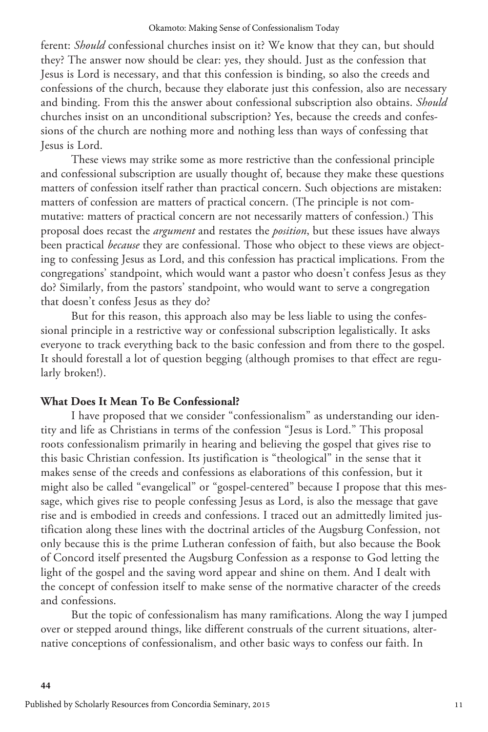ferent: *Should* confessional churches insist on it? We know that they can, but should they? The answer now should be clear: yes, they should. Just as the confession that Jesus is Lord is necessary, and that this confession is binding, so also the creeds and confessions of the church, because they elaborate just this confession, also are necessary and binding. From this the answer about confessional subscription also obtains. *Should* churches insist on an unconditional subscription? Yes, because the creeds and confessions of the church are nothing more and nothing less than ways of confessing that Jesus is Lord.

These views may strike some as more restrictive than the confessional principle and confessional subscription are usually thought of, because they make these questions matters of confession itself rather than practical concern. Such objections are mistaken: matters of confession are matters of practical concern. (The principle is not commutative: matters of practical concern are not necessarily matters of confession.) This proposal does recast the *argument* and restates the *position*, but these issues have always been practical *because* they are confessional. Those who object to these views are objecting to confessing Jesus as Lord, and this confession has practical implications. From the congregations' standpoint, which would want a pastor who doesn't confess Jesus as they do? Similarly, from the pastors' standpoint, who would want to serve a congregation that doesn't confess Jesus as they do?

But for this reason, this approach also may be less liable to using the confessional principle in a restrictive way or confessional subscription legalistically. It asks everyone to track everything back to the basic confession and from there to the gospel. It should forestall a lot of question begging (although promises to that effect are regularly broken!).

# **What Does It Mean To Be Confessional?**

I have proposed that we consider "confessionalism" as understanding our identity and life as Christians in terms of the confession "Jesus is Lord." This proposal roots confessionalism primarily in hearing and believing the gospel that gives rise to this basic Christian confession. Its justification is "theological" in the sense that it makes sense of the creeds and confessions as elaborations of this confession, but it might also be called "evangelical" or "gospel-centered" because I propose that this message, which gives rise to people confessing Jesus as Lord, is also the message that gave rise and is embodied in creeds and confessions. I traced out an admittedly limited justification along these lines with the doctrinal articles of the Augsburg Confession, not only because this is the prime Lutheran confession of faith, but also because the Book of Concord itself presented the Augsburg Confession as a response to God letting the light of the gospel and the saving word appear and shine on them. And I dealt with the concept of confession itself to make sense of the normative character of the creeds and confessions.

But the topic of confessionalism has many ramifications. Along the way I jumped over or stepped around things, like different construals of the current situations, alternative conceptions of confessionalism, and other basic ways to confess our faith. In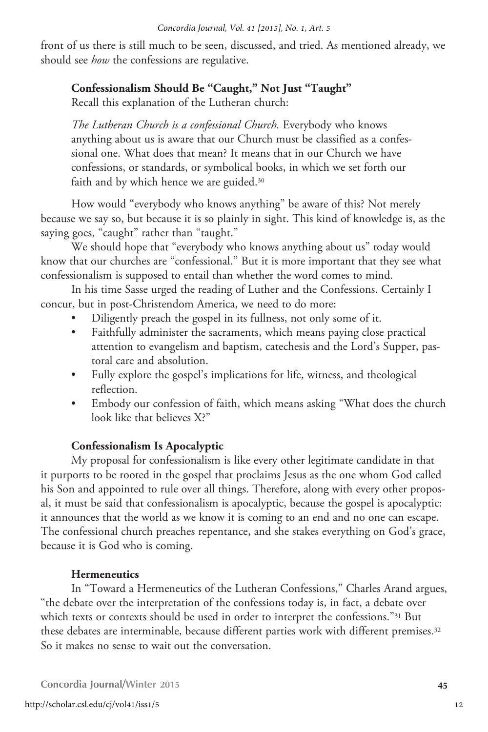front of us there is still much to be seen, discussed, and tried. As mentioned already, we should see *how* the confessions are regulative.

# **Confessionalism Should Be "Caught," Not Just "Taught"**

Recall this explanation of the Lutheran church:

*The Lutheran Church is a confessional Church.* Everybody who knows anything about us is aware that our Church must be classified as a confessional one. What does that mean? It means that in our Church we have confessions, or standards, or symbolical books, in which we set forth our faith and by which hence we are guided.<sup>30</sup>

How would "everybody who knows anything" be aware of this? Not merely because we say so, but because it is so plainly in sight. This kind of knowledge is, as the saying goes, "caught" rather than "taught."

We should hope that "everybody who knows anything about us" today would know that our churches are "confessional." But it is more important that they see what confessionalism is supposed to entail than whether the word comes to mind.

In his time Sasse urged the reading of Luther and the Confessions. Certainly I concur, but in post-Christendom America, we need to do more:

- Diligently preach the gospel in its fullness, not only some of it.
- Faithfully administer the sacraments, which means paying close practical attention to evangelism and baptism, catechesis and the Lord's Supper, pastoral care and absolution.
- • Fully explore the gospel's implications for life, witness, and theological reflection.
- Embody our confession of faith, which means asking "What does the church look like that believes X?"

# **Confessionalism Is Apocalyptic**

My proposal for confessionalism is like every other legitimate candidate in that it purports to be rooted in the gospel that proclaims Jesus as the one whom God called his Son and appointed to rule over all things. Therefore, along with every other proposal, it must be said that confessionalism is apocalyptic, because the gospel is apocalyptic: it announces that the world as we know it is coming to an end and no one can escape. The confessional church preaches repentance, and she stakes everything on God's grace, because it is God who is coming.

# **Hermeneutics**

In "Toward a Hermeneutics of the Lutheran Confessions," Charles Arand argues, "the debate over the interpretation of the confessions today is, in fact, a debate over which texts or contexts should be used in order to interpret the confessions."<sup>31</sup> But these debates are interminable, because different parties work with different premises.32 So it makes no sense to wait out the conversation.

**Concordia Journal**/**Winter 2015 45**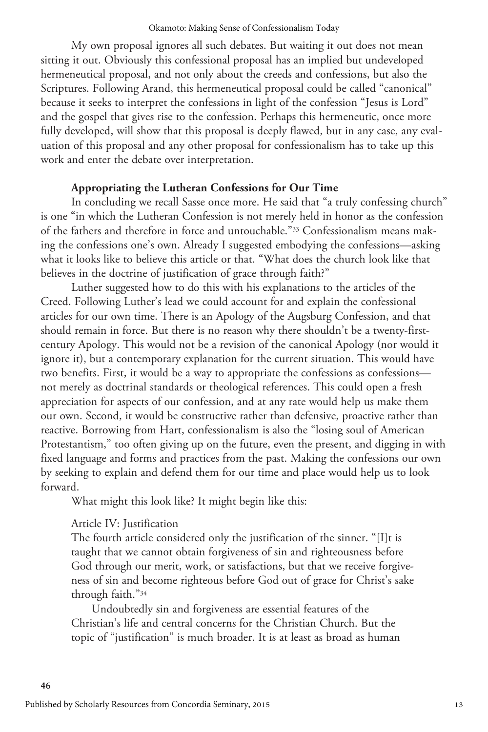My own proposal ignores all such debates. But waiting it out does not mean sitting it out. Obviously this confessional proposal has an implied but undeveloped hermeneutical proposal, and not only about the creeds and confessions, but also the Scriptures. Following Arand, this hermeneutical proposal could be called "canonical" because it seeks to interpret the confessions in light of the confession "Jesus is Lord" and the gospel that gives rise to the confession. Perhaps this hermeneutic, once more fully developed, will show that this proposal is deeply flawed, but in any case, any evaluation of this proposal and any other proposal for confessionalism has to take up this work and enter the debate over interpretation.

# **Appropriating the Lutheran Confessions for Our Time**

In concluding we recall Sasse once more. He said that "a truly confessing church" is one "in which the Lutheran Confession is not merely held in honor as the confession of the fathers and therefore in force and untouchable."33 Confessionalism means making the confessions one's own. Already I suggested embodying the confessions—asking what it looks like to believe this article or that. "What does the church look like that believes in the doctrine of justification of grace through faith?"

Luther suggested how to do this with his explanations to the articles of the Creed. Following Luther's lead we could account for and explain the confessional articles for our own time. There is an Apology of the Augsburg Confession, and that should remain in force. But there is no reason why there shouldn't be a twenty-firstcentury Apology. This would not be a revision of the canonical Apology (nor would it ignore it), but a contemporary explanation for the current situation. This would have two benefits. First, it would be a way to appropriate the confessions as confessions not merely as doctrinal standards or theological references. This could open a fresh appreciation for aspects of our confession, and at any rate would help us make them our own. Second, it would be constructive rather than defensive, proactive rather than reactive. Borrowing from Hart, confessionalism is also the "losing soul of American Protestantism," too often giving up on the future, even the present, and digging in with fixed language and forms and practices from the past. Making the confessions our own by seeking to explain and defend them for our time and place would help us to look forward.

What might this look like? It might begin like this:

# Article IV: Justification

The fourth article considered only the justification of the sinner. "[I]t is taught that we cannot obtain forgiveness of sin and righteousness before God through our merit, work, or satisfactions, but that we receive forgiveness of sin and become righteous before God out of grace for Christ's sake through faith."34

Undoubtedly sin and forgiveness are essential features of the Christian's life and central concerns for the Christian Church. But the topic of "justification" is much broader. It is at least as broad as human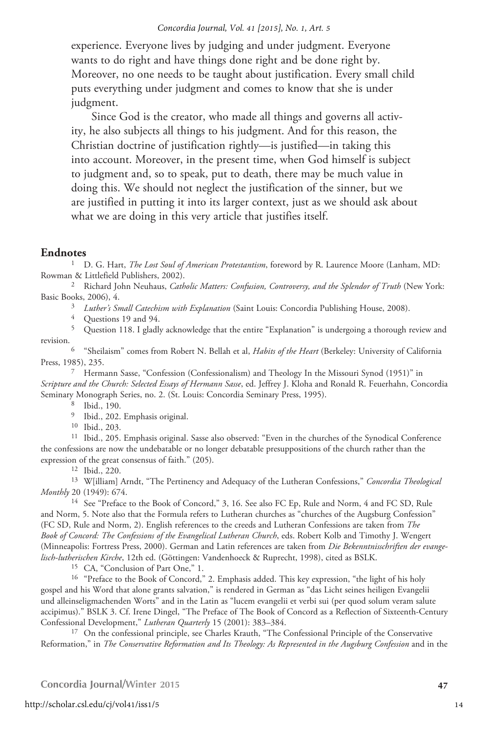experience. Everyone lives by judging and under judgment. Everyone wants to do right and have things done right and be done right by. Moreover, no one needs to be taught about justification. Every small child puts everything under judgment and comes to know that she is under judgment.

Since God is the creator, who made all things and governs all activity, he also subjects all things to his judgment. And for this reason, the Christian doctrine of justification rightly—is justified—in taking this into account. Moreover, in the present time, when God himself is subject to judgment and, so to speak, put to death, there may be much value in doing this. We should not neglect the justification of the sinner, but we are justified in putting it into its larger context, just as we should ask about what we are doing in this very article that justifies itself.

# **Endnotes**

1 D. G. Hart, *The Lost Soul of American Protestantism*, foreword by R. Laurence Moore (Lanham, MD: Rowman & Littlefield Publishers, 2002).

2 Richard John Neuhaus, *Catholic Matters: Confusion, Controversy, and the Splendor of Truth* (New York: Basic Books, 2006), 4.<br><sup>3</sup> Luther's Small Catechism with Explanation (Saint Louis: Concordia Publishing House, 2008).<br><sup>4</sup> Questions 19 and 94.<br><sup>5</sup> Question 118. I gladly acknowledge that the entire "Explanation" is undergo

revision. 6 "Sheilaism" comes from Robert N. Bellah et al, *Habits of the Heart* (Berkeley: University of California

Press, 1985), 235. 7 Hermann Sasse, "Confession (Confessionalism) and Theology In the Missouri Synod (1951)" in

*Scripture and the Church: Selected Essays of Hermann Sasse*, ed. Jeffrey J. Kloha and Ronald R. Feuerhahn, Concordia Seminary Monograph Series, no. 2. (St. Louis: Concordia Seminary Press, 1995).

<sup>9</sup> Ibid., 202. Emphasis original.<br><sup>10</sup> Ibid., 203.<br><sup>11</sup> Ibid., 205. Emphasis original. Sasse also observed: "Even in the churches of the Synodical Conference the confessions are now the undebatable or no longer debatable presuppositions of the church rather than the expression of the great consensus of faith." (205).

<sup>12</sup> Ibid., 220.<br><sup>13</sup> W[illiam] Arndt, "The Pertinency and Adequacy of the Lutheran Confessions," *Concordia Theological Monthly* 20 (1949): 674.

<sup>14</sup> See "Preface to the Book of Concord," 3, 16. See also FC Ep, Rule and Norm, 4 and FC SD, Rule and Norm, 5. Note also that the Formula refers to Lutheran churches as "churches of the Augsburg Confession" (FC SD, Rule and Norm, 2). English references to the creeds and Lutheran Confessions are taken from *The Book of Concord: The Confessions of the Evangelical Lutheran Church*, eds. Robert Kolb and Timothy J. Wengert (Minneapolis: Fortress Press, 2000). German and Latin references are taken from *Die Bekenntnisschriften der evangelisch-lutherischen Kirche*, 12th ed. (Göttingen: Vandenhoeck & Ruprecht, 1998), cited as BSLK.

<sup>15</sup> CA, "Conclusion of Part One," 1.<br><sup>16</sup> "Preface to the Book of Concord," 2. Emphasis added. This key expression, "the light of his holy gospel and his Word that alone grants salvation," is rendered in German as "das Licht seines heiligen Evangelii und alleinseligmachenden Worts" and in the Latin as "lucem evangelii et verbi sui (per quod solum veram salute accipimus)." BSLK 3. Cf. Irene Dingel, "The Preface of The Book of Concord as a Reflection of Sixteenth-Century Confessional Development," *Lutheran Quarterly* 15 (2001): 383–384. 17 On the confessional principle, see Charles Krauth, "The Confessional Principle of the Conservative

Reformation," in *The Conservative Reformation and Its Theology: As Represented in the Augsburg Confession* and in the